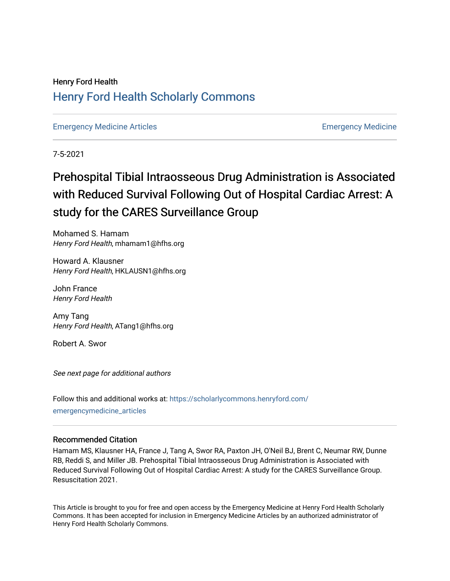## Henry Ford Health [Henry Ford Health Scholarly Commons](https://scholarlycommons.henryford.com/)

[Emergency Medicine Articles](https://scholarlycommons.henryford.com/emergencymedicine_articles) [Emergency Medicine](https://scholarlycommons.henryford.com/emergencymedicine) 

7-5-2021

## Prehospital Tibial Intraosseous Drug Administration is Associated with Reduced Survival Following Out of Hospital Cardiac Arrest: A study for the CARES Surveillance Group

Mohamed S. Hamam Henry Ford Health, mhamam1@hfhs.org

Howard A. Klausner Henry Ford Health, HKLAUSN1@hfhs.org

John France Henry Ford Health

Amy Tang Henry Ford Health, ATang1@hfhs.org

Robert A. Swor

See next page for additional authors

Follow this and additional works at: [https://scholarlycommons.henryford.com/](https://scholarlycommons.henryford.com/emergencymedicine_articles?utm_source=scholarlycommons.henryford.com%2Femergencymedicine_articles%2F235&utm_medium=PDF&utm_campaign=PDFCoverPages) [emergencymedicine\\_articles](https://scholarlycommons.henryford.com/emergencymedicine_articles?utm_source=scholarlycommons.henryford.com%2Femergencymedicine_articles%2F235&utm_medium=PDF&utm_campaign=PDFCoverPages) 

### Recommended Citation

Hamam MS, Klausner HA, France J, Tang A, Swor RA, Paxton JH, O'Neil BJ, Brent C, Neumar RW, Dunne RB, Reddi S, and Miller JB. Prehospital Tibial Intraosseous Drug Administration is Associated with Reduced Survival Following Out of Hospital Cardiac Arrest: A study for the CARES Surveillance Group. Resuscitation 2021.

This Article is brought to you for free and open access by the Emergency Medicine at Henry Ford Health Scholarly Commons. It has been accepted for inclusion in Emergency Medicine Articles by an authorized administrator of Henry Ford Health Scholarly Commons.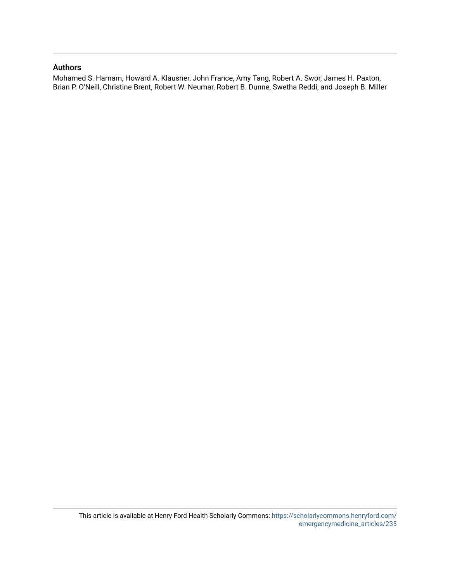### Authors

Mohamed S. Hamam, Howard A. Klausner, John France, Amy Tang, Robert A. Swor, James H. Paxton, Brian P. O'Neill, Christine Brent, Robert W. Neumar, Robert B. Dunne, Swetha Reddi, and Joseph B. Miller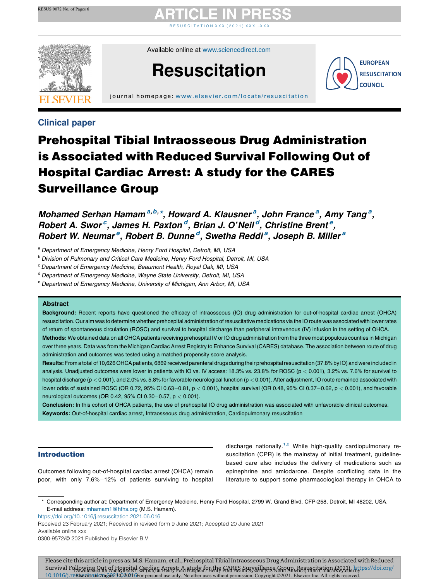# R E S U S C I T A T I [O](https://doi.org/10.1016/j.resuscitation.2021.06.016) N X X X ( 2 0 2 1 ) X X X  $-$  X X X

Available online at [www.sciencedirect.com](http://www.sciencedirect.com/science/journal/03009572)





j ournal home page: [www.elsevier.com/locate/resus](www.elsevier.com/locate/resuscitation) citation

### Clinical paper

## Prehospital Tibial Intraosseous Drug Administration is Associated with Reduced Survival Following Out of Hospital Cardiac Arrest: A study for the CARES Surveillance Group

Mohamed Serhan Hamam<sup>a,b,\*</sup>, Howard A. Klausner<sup>a</sup>, John France<sup>a</sup>, Amy Tang<sup>a</sup>, Robert A. Swor<sup>c</sup>, James H. Paxton<sup>d</sup>, Brian J. O'Neil<sup>d</sup>, Christine Brent<sup>e</sup>, Robert W. Neumar<sup>e</sup>, Robert B. Dunne<sup>d</sup>, Swetha Reddi<sup>a</sup>, Joseph B. Miller<sup>a</sup>

a Department of Emergency Medicine, Henry Ford Hospital, Detroit, MI, USA

**b Division of Pulmonary and Critical Care Medicine, Henry Ford Hospital, Detroit, MI, USA** 

<sup>c</sup> Department of Emergency Medicine, Beaumont Health, Royal Oak, MI, USA

<sup>d</sup> Department of Emergency Medicine, Wayne State University, Detroit, MI, USA

<sup>e</sup> Department of Emergency Medicine, University of Michigan, Ann Arbor, MI, USA

#### **Abstract**

Background: Recent reports have questioned the efficacy of intraosseous (IO) drug administration for out-of-hospital cardiac arrest (OHCA) resuscitation. Our aim was to determine whether prehospital administration ofresuscitative medications via the IO route was associated with lowerrates of return of spontaneous circulation (ROSC) and survival to hospital discharge than peripheral intravenous (IV) infusion in the setting of OHCA.

Methods: We obtained data on all OHCA patients receiving prehospital IV or IO drug administration from the three most populous counties in Michigan over three years. Data was from the Michigan Cardiac Arrest Registry to Enhance Survival (CARES) database. The association between route of drug administration and outcomes was tested using a matched propensity score analysis.

Results: From a total of 10,626 OHCA patients, 6869 received parenteral drugs during their prehospital resuscitation (37.8% by IO) and were included in analysis. Unadjusted outcomes were lower in patients with IO vs. IV access: 18.3% vs. 23.8% for ROSC (p < 0.001), 3.2% vs. 7.6% for survival to hospital discharge (p < 0.001), and 2.0% vs. 5.8% for favorable neurological function (p < 0.001). After adjustment, IO route remained associated with lower odds of sustained ROSC (OR 0.72, 95% CI 0.63-0.81,  $p < 0.001$ ), hospital survival (OR 0.48, 95% CI 0.37-0.62,  $p < 0.001$ ), and favorable neurological outcomes (OR 0.42, 95% CI 0.30-0.57,  $p < 0.001$ ).

Conclusion: In this cohort of OHCA patients, the use of prehospital IO drug administration was associated with unfavorable clinical outcomes. Keywords: Out-of-hospital cardiac arrest, Intraosseous drug administration, Cardiopulmonary resuscitation

#### Introduction

Outcomes following out-of-hospital cardiac arrest (OHCA) remain poor, with only  $7.6\% - 12\%$  of patients surviving to hospital discharge nationally.<sup>1,2</sup> While high-quality [cardiopulmonary](#page-6-0) resuscitation (CPR) is the mainstay of initial treatment, guidelinebased care also includes the delivery of medications such as epinephrine and amiodarone. Despite conflicting data in the literature to support some pharmacological therapy in OHCA to

\* Corresponding author at: Department of Emergency Medicine, Henry Ford Hospital, 2799 W. Grand Blvd, CFP-258, Detroit, MI 48202, USA. E-mail address: [mhamam1@hfhs.org](mailto:mhamam1@hfhs.org) (M.S. Hamam).

<https://doi.org/10.1016/j.resuscitation.2021.06.016>

Received 23 February 2021; Received in revised form 9 June 2021; Accepted 20 June 2021

Available online xxx

0300-9572/© 2021 Published by Elsevier B.V.

Please cite this article in press as: M.S. Hamam, et al., Prehospital Tibial Intraosseous Drug Administration is Associated with Reduced Survival Folkwing Qut Afbkyanital Sermiş a Attrş F.A atydz fonthe FARFS muystillans Ranyn. Resursni etinn 12921m btps://doi.org/ 10.1016/j.reElsevier on August 30, 2021 6 For personal use only. No other uses without permission. Copyright ©2021. Elsevier Inc. All rights reserved.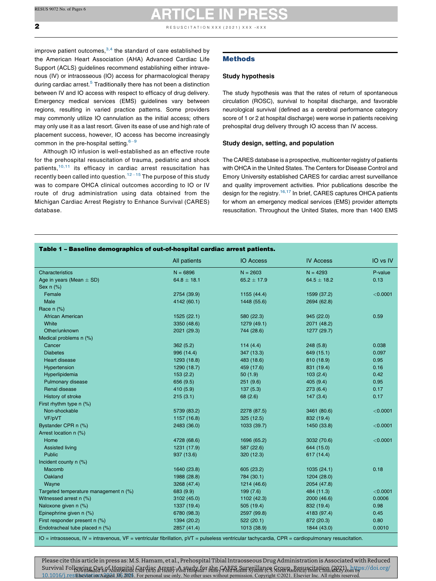<span id="page-3-0"></span> $\overline{\mathbf{z}}$  R E SUSCITATION X X  $(2021)$  X X  $\times$   $-$  X  $\times$ 

improve patient outcomes, $3,4$  the standard of care [established](#page-6-0) by the American Heart Association (AHA) Advanced Cardiac Life Support (ACLS) guidelines recommend establishing either intravenous (IV) or intraosseous (IO) access for pharmacological therapy during cardiac arrest.<sup>[5](#page-6-0)</sup> Traditionally there has not been a distinction between IV and IO access with respect to efficacy of drug delivery. Emergency medical services (EMS) guidelines vary between regions, resulting in varied practice patterns. Some providers may commonly utilize IO cannulation as the initial access; others may only use it as a last resort. Given its ease of use and high rate of placement success, however, IO access has become increasingly common in the pre-hospital setting. $6-9$ 

Although IO infusion is well-established as an effective route for the prehospital resuscitation of trauma, pediatric and shock patients, $10,11$  its efficacy in cardiac arrest [resuscitation](#page-6-0) has recently been called into question.<sup>12-15</sup> The [purpose](#page-7-0) of this study was to compare OHCA clinical outcomes according to IO or IV route of drug administration using data obtained from the Michigan Cardiac Arrest Registry to Enhance Survival (CARES) database.

#### Methods

#### Study hypothesis

The study hypothesis was that the rates of return of spontaneous circulation (ROSC), survival to hospital discharge, and favorable neurological survival (defined as a cerebral performance category score of 1 or 2 at hospital discharge) were worse in patients receiving prehospital drug delivery through IO access than IV access.

#### Study design, setting, and population

The CARES database is a prospective, multicenter registry of patients with OHCA in the United States. The Centers for Disease Control and Emory University established CARES for cardiac arrest surveillance and quality improvement activities. Prior publications describe the design for the registry.<sup>16,17</sup> In brief, CARES [captures](#page-7-0) OHCA patients for whom an emergency medical services (EMS) provider attempts resuscitation. Throughout the United States, more than 1400 EMS

|  |  |  |  |  |  | Table 1 – Baseline demographics of out-of-hospital cardiac arrest patients. |  |
|--|--|--|--|--|--|-----------------------------------------------------------------------------|--|
|--|--|--|--|--|--|-----------------------------------------------------------------------------|--|

| Characteristics<br>$N = 6896$<br>$N = 2603$<br>$N = 4293$<br>P-value<br>Age in years (Mean $\pm$ SD)<br>$64.8 \pm 18.1$<br>$64.5 \pm 18.2$<br>0.13<br>$65.2 \pm 17.9$<br>Sex $n$ $%$<br>Female<br>< 0.0001<br>2754 (39.9)<br>1155 (44.4)<br>1599 (37.2)<br>Male<br>4142 (60.1)<br>1448 (55.6)<br>2694 (62.8)<br>Race n (%)<br>African American<br>0.59<br>1525(22.1)<br>580 (22.3)<br>945 (22.0)<br>White<br>3350 (48.6)<br>1279 (49.1)<br>2071 (48.2)<br>Other/unknown<br>2021 (29.3)<br>744 (28.6)<br>1277 (29.7)<br>Medical problems n (%)<br>0.038<br>Cancer<br>362(5.2)<br>114 $(4.4)$<br>248(5.8)<br><b>Diabetes</b><br>996 (14.4)<br>347 (13.3)<br>649 (15.1)<br>0.097<br><b>Heart disease</b><br>1293 (18.8)<br>0.95<br>483 (18.6)<br>810 (18.9)<br>Hypertension<br>1290 (18.7)<br>459 (17.6)<br>831 (19.4)<br>0.16<br>153(2.2)<br>50(1.9)<br>103(2.4)<br>0.42<br>Hyperlipidemia<br>Pulmonary disease<br>656 (9.5)<br>251(9.6)<br>405(9.4)<br>0.95<br><b>Renal disease</b><br>410 (5.9)<br>273(6.4)<br>0.17<br>137(5.3)<br>History of stroke<br>215(3.1)<br>68 (2.6)<br>147(3.4)<br>0.17<br>First rhythm type n (%)<br>< 0.0001<br>Non-shockable<br>5739 (83.2)<br>2278 (87.5)<br>3461 (80.6)<br>VF/pVT<br>1157 (16.8)<br>832 (19.4)<br>325(12.5)<br>Bystander CPR n (%)<br>2483 (36.0)<br>1033 (39.7)<br>1450 (33.8)<br>< 0.0001<br>Arrest location n (%)<br>Home<br>4728 (68.6)<br>1696 (65.2)<br>3032 (70.6)<br>< 0.0001<br><b>Assisted living</b><br>644 (15.0)<br>1231 (17.9)<br>587 (22.6)<br>Public<br>937 (13.6)<br>320 (12.3)<br>617 (14.4)<br>Incident county n (%)<br>0.18<br>Macomb<br>1640 (23.8)<br>605 (23.2)<br>1035 (24.1)<br>Oakland<br>1988 (28.8)<br>784 (30.1)<br>1204 (28.0)<br>Wayne<br>3268 (47.4)<br>1214 (46.6)<br>2054 (47.8)<br>Targeted temperature management n (%)<br>484 (11.3)<br>< 0.0001<br>683 (9.9)<br>199 (7.6)<br>Witnessed arrest n (%)<br>1102 (42.3)<br>2000 (46.6)<br>0.0006<br>3102 (45.0)<br>Naloxone given n (%)<br>1337 (19.4)<br>505 (19.4)<br>832 (19.4)<br>0.98<br>Epinephrine given n (%)<br>2597 (99.8)<br>0.45<br>6780 (98.3)<br>4183 (97.4)<br>First responder present n (%)<br>0.80<br>1394 (20.2)<br>522(20.1)<br>872 (20.3) |                                | All patients | <b>IO Access</b> | <b>IV Access</b> | IO vs IV |
|----------------------------------------------------------------------------------------------------------------------------------------------------------------------------------------------------------------------------------------------------------------------------------------------------------------------------------------------------------------------------------------------------------------------------------------------------------------------------------------------------------------------------------------------------------------------------------------------------------------------------------------------------------------------------------------------------------------------------------------------------------------------------------------------------------------------------------------------------------------------------------------------------------------------------------------------------------------------------------------------------------------------------------------------------------------------------------------------------------------------------------------------------------------------------------------------------------------------------------------------------------------------------------------------------------------------------------------------------------------------------------------------------------------------------------------------------------------------------------------------------------------------------------------------------------------------------------------------------------------------------------------------------------------------------------------------------------------------------------------------------------------------------------------------------------------------------------------------------------------------------------------------------------------------------------------------------------------------------------------------------------------------------------------------------------------------------------------------------------------------------------------------------------------------------------------------|--------------------------------|--------------|------------------|------------------|----------|
|                                                                                                                                                                                                                                                                                                                                                                                                                                                                                                                                                                                                                                                                                                                                                                                                                                                                                                                                                                                                                                                                                                                                                                                                                                                                                                                                                                                                                                                                                                                                                                                                                                                                                                                                                                                                                                                                                                                                                                                                                                                                                                                                                                                              |                                |              |                  |                  |          |
|                                                                                                                                                                                                                                                                                                                                                                                                                                                                                                                                                                                                                                                                                                                                                                                                                                                                                                                                                                                                                                                                                                                                                                                                                                                                                                                                                                                                                                                                                                                                                                                                                                                                                                                                                                                                                                                                                                                                                                                                                                                                                                                                                                                              |                                |              |                  |                  |          |
|                                                                                                                                                                                                                                                                                                                                                                                                                                                                                                                                                                                                                                                                                                                                                                                                                                                                                                                                                                                                                                                                                                                                                                                                                                                                                                                                                                                                                                                                                                                                                                                                                                                                                                                                                                                                                                                                                                                                                                                                                                                                                                                                                                                              |                                |              |                  |                  |          |
|                                                                                                                                                                                                                                                                                                                                                                                                                                                                                                                                                                                                                                                                                                                                                                                                                                                                                                                                                                                                                                                                                                                                                                                                                                                                                                                                                                                                                                                                                                                                                                                                                                                                                                                                                                                                                                                                                                                                                                                                                                                                                                                                                                                              |                                |              |                  |                  |          |
|                                                                                                                                                                                                                                                                                                                                                                                                                                                                                                                                                                                                                                                                                                                                                                                                                                                                                                                                                                                                                                                                                                                                                                                                                                                                                                                                                                                                                                                                                                                                                                                                                                                                                                                                                                                                                                                                                                                                                                                                                                                                                                                                                                                              |                                |              |                  |                  |          |
|                                                                                                                                                                                                                                                                                                                                                                                                                                                                                                                                                                                                                                                                                                                                                                                                                                                                                                                                                                                                                                                                                                                                                                                                                                                                                                                                                                                                                                                                                                                                                                                                                                                                                                                                                                                                                                                                                                                                                                                                                                                                                                                                                                                              |                                |              |                  |                  |          |
|                                                                                                                                                                                                                                                                                                                                                                                                                                                                                                                                                                                                                                                                                                                                                                                                                                                                                                                                                                                                                                                                                                                                                                                                                                                                                                                                                                                                                                                                                                                                                                                                                                                                                                                                                                                                                                                                                                                                                                                                                                                                                                                                                                                              |                                |              |                  |                  |          |
|                                                                                                                                                                                                                                                                                                                                                                                                                                                                                                                                                                                                                                                                                                                                                                                                                                                                                                                                                                                                                                                                                                                                                                                                                                                                                                                                                                                                                                                                                                                                                                                                                                                                                                                                                                                                                                                                                                                                                                                                                                                                                                                                                                                              |                                |              |                  |                  |          |
|                                                                                                                                                                                                                                                                                                                                                                                                                                                                                                                                                                                                                                                                                                                                                                                                                                                                                                                                                                                                                                                                                                                                                                                                                                                                                                                                                                                                                                                                                                                                                                                                                                                                                                                                                                                                                                                                                                                                                                                                                                                                                                                                                                                              |                                |              |                  |                  |          |
|                                                                                                                                                                                                                                                                                                                                                                                                                                                                                                                                                                                                                                                                                                                                                                                                                                                                                                                                                                                                                                                                                                                                                                                                                                                                                                                                                                                                                                                                                                                                                                                                                                                                                                                                                                                                                                                                                                                                                                                                                                                                                                                                                                                              |                                |              |                  |                  |          |
|                                                                                                                                                                                                                                                                                                                                                                                                                                                                                                                                                                                                                                                                                                                                                                                                                                                                                                                                                                                                                                                                                                                                                                                                                                                                                                                                                                                                                                                                                                                                                                                                                                                                                                                                                                                                                                                                                                                                                                                                                                                                                                                                                                                              |                                |              |                  |                  |          |
|                                                                                                                                                                                                                                                                                                                                                                                                                                                                                                                                                                                                                                                                                                                                                                                                                                                                                                                                                                                                                                                                                                                                                                                                                                                                                                                                                                                                                                                                                                                                                                                                                                                                                                                                                                                                                                                                                                                                                                                                                                                                                                                                                                                              |                                |              |                  |                  |          |
|                                                                                                                                                                                                                                                                                                                                                                                                                                                                                                                                                                                                                                                                                                                                                                                                                                                                                                                                                                                                                                                                                                                                                                                                                                                                                                                                                                                                                                                                                                                                                                                                                                                                                                                                                                                                                                                                                                                                                                                                                                                                                                                                                                                              |                                |              |                  |                  |          |
|                                                                                                                                                                                                                                                                                                                                                                                                                                                                                                                                                                                                                                                                                                                                                                                                                                                                                                                                                                                                                                                                                                                                                                                                                                                                                                                                                                                                                                                                                                                                                                                                                                                                                                                                                                                                                                                                                                                                                                                                                                                                                                                                                                                              |                                |              |                  |                  |          |
|                                                                                                                                                                                                                                                                                                                                                                                                                                                                                                                                                                                                                                                                                                                                                                                                                                                                                                                                                                                                                                                                                                                                                                                                                                                                                                                                                                                                                                                                                                                                                                                                                                                                                                                                                                                                                                                                                                                                                                                                                                                                                                                                                                                              |                                |              |                  |                  |          |
|                                                                                                                                                                                                                                                                                                                                                                                                                                                                                                                                                                                                                                                                                                                                                                                                                                                                                                                                                                                                                                                                                                                                                                                                                                                                                                                                                                                                                                                                                                                                                                                                                                                                                                                                                                                                                                                                                                                                                                                                                                                                                                                                                                                              |                                |              |                  |                  |          |
|                                                                                                                                                                                                                                                                                                                                                                                                                                                                                                                                                                                                                                                                                                                                                                                                                                                                                                                                                                                                                                                                                                                                                                                                                                                                                                                                                                                                                                                                                                                                                                                                                                                                                                                                                                                                                                                                                                                                                                                                                                                                                                                                                                                              |                                |              |                  |                  |          |
|                                                                                                                                                                                                                                                                                                                                                                                                                                                                                                                                                                                                                                                                                                                                                                                                                                                                                                                                                                                                                                                                                                                                                                                                                                                                                                                                                                                                                                                                                                                                                                                                                                                                                                                                                                                                                                                                                                                                                                                                                                                                                                                                                                                              |                                |              |                  |                  |          |
|                                                                                                                                                                                                                                                                                                                                                                                                                                                                                                                                                                                                                                                                                                                                                                                                                                                                                                                                                                                                                                                                                                                                                                                                                                                                                                                                                                                                                                                                                                                                                                                                                                                                                                                                                                                                                                                                                                                                                                                                                                                                                                                                                                                              |                                |              |                  |                  |          |
|                                                                                                                                                                                                                                                                                                                                                                                                                                                                                                                                                                                                                                                                                                                                                                                                                                                                                                                                                                                                                                                                                                                                                                                                                                                                                                                                                                                                                                                                                                                                                                                                                                                                                                                                                                                                                                                                                                                                                                                                                                                                                                                                                                                              |                                |              |                  |                  |          |
|                                                                                                                                                                                                                                                                                                                                                                                                                                                                                                                                                                                                                                                                                                                                                                                                                                                                                                                                                                                                                                                                                                                                                                                                                                                                                                                                                                                                                                                                                                                                                                                                                                                                                                                                                                                                                                                                                                                                                                                                                                                                                                                                                                                              |                                |              |                  |                  |          |
|                                                                                                                                                                                                                                                                                                                                                                                                                                                                                                                                                                                                                                                                                                                                                                                                                                                                                                                                                                                                                                                                                                                                                                                                                                                                                                                                                                                                                                                                                                                                                                                                                                                                                                                                                                                                                                                                                                                                                                                                                                                                                                                                                                                              |                                |              |                  |                  |          |
|                                                                                                                                                                                                                                                                                                                                                                                                                                                                                                                                                                                                                                                                                                                                                                                                                                                                                                                                                                                                                                                                                                                                                                                                                                                                                                                                                                                                                                                                                                                                                                                                                                                                                                                                                                                                                                                                                                                                                                                                                                                                                                                                                                                              |                                |              |                  |                  |          |
|                                                                                                                                                                                                                                                                                                                                                                                                                                                                                                                                                                                                                                                                                                                                                                                                                                                                                                                                                                                                                                                                                                                                                                                                                                                                                                                                                                                                                                                                                                                                                                                                                                                                                                                                                                                                                                                                                                                                                                                                                                                                                                                                                                                              |                                |              |                  |                  |          |
|                                                                                                                                                                                                                                                                                                                                                                                                                                                                                                                                                                                                                                                                                                                                                                                                                                                                                                                                                                                                                                                                                                                                                                                                                                                                                                                                                                                                                                                                                                                                                                                                                                                                                                                                                                                                                                                                                                                                                                                                                                                                                                                                                                                              |                                |              |                  |                  |          |
|                                                                                                                                                                                                                                                                                                                                                                                                                                                                                                                                                                                                                                                                                                                                                                                                                                                                                                                                                                                                                                                                                                                                                                                                                                                                                                                                                                                                                                                                                                                                                                                                                                                                                                                                                                                                                                                                                                                                                                                                                                                                                                                                                                                              |                                |              |                  |                  |          |
|                                                                                                                                                                                                                                                                                                                                                                                                                                                                                                                                                                                                                                                                                                                                                                                                                                                                                                                                                                                                                                                                                                                                                                                                                                                                                                                                                                                                                                                                                                                                                                                                                                                                                                                                                                                                                                                                                                                                                                                                                                                                                                                                                                                              |                                |              |                  |                  |          |
|                                                                                                                                                                                                                                                                                                                                                                                                                                                                                                                                                                                                                                                                                                                                                                                                                                                                                                                                                                                                                                                                                                                                                                                                                                                                                                                                                                                                                                                                                                                                                                                                                                                                                                                                                                                                                                                                                                                                                                                                                                                                                                                                                                                              |                                |              |                  |                  |          |
|                                                                                                                                                                                                                                                                                                                                                                                                                                                                                                                                                                                                                                                                                                                                                                                                                                                                                                                                                                                                                                                                                                                                                                                                                                                                                                                                                                                                                                                                                                                                                                                                                                                                                                                                                                                                                                                                                                                                                                                                                                                                                                                                                                                              |                                |              |                  |                  |          |
|                                                                                                                                                                                                                                                                                                                                                                                                                                                                                                                                                                                                                                                                                                                                                                                                                                                                                                                                                                                                                                                                                                                                                                                                                                                                                                                                                                                                                                                                                                                                                                                                                                                                                                                                                                                                                                                                                                                                                                                                                                                                                                                                                                                              |                                |              |                  |                  |          |
|                                                                                                                                                                                                                                                                                                                                                                                                                                                                                                                                                                                                                                                                                                                                                                                                                                                                                                                                                                                                                                                                                                                                                                                                                                                                                                                                                                                                                                                                                                                                                                                                                                                                                                                                                                                                                                                                                                                                                                                                                                                                                                                                                                                              |                                |              |                  |                  |          |
|                                                                                                                                                                                                                                                                                                                                                                                                                                                                                                                                                                                                                                                                                                                                                                                                                                                                                                                                                                                                                                                                                                                                                                                                                                                                                                                                                                                                                                                                                                                                                                                                                                                                                                                                                                                                                                                                                                                                                                                                                                                                                                                                                                                              |                                |              |                  |                  |          |
|                                                                                                                                                                                                                                                                                                                                                                                                                                                                                                                                                                                                                                                                                                                                                                                                                                                                                                                                                                                                                                                                                                                                                                                                                                                                                                                                                                                                                                                                                                                                                                                                                                                                                                                                                                                                                                                                                                                                                                                                                                                                                                                                                                                              |                                |              |                  |                  |          |
|                                                                                                                                                                                                                                                                                                                                                                                                                                                                                                                                                                                                                                                                                                                                                                                                                                                                                                                                                                                                                                                                                                                                                                                                                                                                                                                                                                                                                                                                                                                                                                                                                                                                                                                                                                                                                                                                                                                                                                                                                                                                                                                                                                                              |                                |              |                  |                  |          |
|                                                                                                                                                                                                                                                                                                                                                                                                                                                                                                                                                                                                                                                                                                                                                                                                                                                                                                                                                                                                                                                                                                                                                                                                                                                                                                                                                                                                                                                                                                                                                                                                                                                                                                                                                                                                                                                                                                                                                                                                                                                                                                                                                                                              |                                |              |                  |                  |          |
|                                                                                                                                                                                                                                                                                                                                                                                                                                                                                                                                                                                                                                                                                                                                                                                                                                                                                                                                                                                                                                                                                                                                                                                                                                                                                                                                                                                                                                                                                                                                                                                                                                                                                                                                                                                                                                                                                                                                                                                                                                                                                                                                                                                              | Endotracheal tube placed n (%) | 2857 (41.4)  | 1013 (38.9)      | 1844 (43.0)      | 0.0010   |

IO = intraosseous, IV = intravenous, VF = ventricular fibrillation, pVT = pulseless ventricular tachycardia, CPR = cardiopulmonary resuscitation.

Please cite this article in press as: M.S. Hamam, et al., Prehospital Tibial Intraosseous Drug Administration is Associated with Reduced Survival Following Qutof Hospital Gardias AHant, A they has the GARFA Surveyllance Gunna Basystine inn (AR2) on tys://doi.org/ 10.1016/j.res Elsevierton August 30, 2021. For personal use only. No other uses without permission. Copyright ©2021. Elsevier Inc. All rights reserved.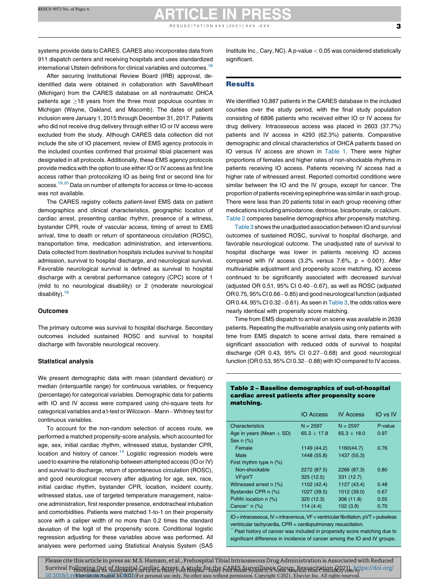systems provide data to CARES. CARES also incorporates data from 911 dispatch centers and receiving hospitals and uses standardized international Utstein definitions for clinical variables and outcomes.<sup>[18](#page-7-0)</sup>

After securing Institutional Review Board (IRB) approval, deidentified data were obtained in collaboration with SaveMIheart (Michigan) from the CARES database on all nontraumatic OHCA patients age  $>18$  years from the three most populous counties in Michigan (Wayne, Oakland, and Macomb). The dates of patient inclusion were January 1, 2015 through December 31, 2017. Patients who did not receive drug delivery through either IO or IV access were excluded from the study. Although CARES data collection did not include the site of IO placement, review of EMS agency protocols in the included counties confirmed that proximal tibial placement was designated in all protocols. Additionally, these EMS agency protocols provide medics with the option to use either IO or IV access as first line access rather than protocolizing IO as being first or second line for access.19,20 Data on number of attempts for access or [time-to-access](#page-7-0) was not available.

The CARES registry collects patient-level EMS data on patient demographics and clinical characteristics, geographic location of cardiac arrest, presenting cardiac rhythm, presence of a witness, bystander CPR, route of vascular access, timing of arrest to EMS arrival, time to death or return of spontaneous circulation (ROSC), transportation time, medication administration, and interventions. Data collected from destination hospitals includes survival to hospital admission, survival to hospital discharge, and neurological survival. Favorable neurological survival is defined as survival to hospital discharge with a cerebral performance category (CPC) score of 1 (mild to no neurological disability) or 2 (moderate neurological disability). $18$ 

#### **Outcomes**

The primary outcome was survival to hospital discharge. Secondary outcomes included sustained ROSC and survival to hospital discharge with favorable neurological recovery.

#### Statistical analysis

We present demographic data with mean (standard deviation) or median (interquartile range) for continuous variables, or frequency (percentage) for categorical variables. Demographic data for patients with IO and IV access were compared using chi-square tests for categorical variables and a t-test or Wilcoxon-Mann-Whitney test for continuous variables.

To account for the non-random selection of access route, we performed a matched propensity-score analysis, which accounted for age, sex, initial cardiac rhythm, witnessed status, bystander CPR, location and history of cancer.<sup>[14](#page-7-0)</sup> Logistic regression models were used to examine the relationship between attempted access (IO or IV) and survival to discharge, return of spontaneous circulation (ROSC), and good neurological recovery after adjusting for age, sex, race, initial cardiac rhythm, bystander CPR, location, incident county, witnessed status, use of targeted temperature management, naloxone administration, first responder presence, endotracheal intubation and comorbidities. Patients were matched 1-to-1 on their propensity score with a caliper width of no more than 0.2 times the standard deviation of the logit of the propensity score. Conditional logistic regression adjusting for these variables above was performed. All analyses were performed using Statistical Analysis System (SAS Institute Inc., Cary, NC). A p-value  $< 0.05$  was considered statistically significant.

#### **Results**

We identified 10,887 patients in the CARES database in the included counties over the study period, with the final study population consisting of 6896 patients who received either IO or IV access for drug delivery. Intraosseous access was placed in 2603 (37.7%) patients and IV access in 4293 (62.3%) patients. Comparative demographic and clinical characteristics of OHCA patients based on IO versus IV access are shown in [Table](#page-3-0) 1. There were higher proportions of females and higher rates of non-shockable rhythms in patients receiving IO access. Patients receiving IV access had a higher rate of witnessed arrest. Reported comorbid conditions were similar between the IO and the IV groups, except for cancer. The proportion of patients receiving epinephrine was similarin each group. There were less than 20 patients total in each group receiving other medications including amiodarone, dextrose, bicarbonate, or calcium. Table 2 compares baseline demographics after propensity matching.

[Table](#page-5-0) 3 shows the unadjusted association between IO and survival outcomes of sustained ROSC, survival to hospital discharge, and favorable neurological outcome. The unadjusted rate of survival to hospital discharge was lower in patients receiving IO access compared with IV access  $(3.2\%$  versus 7.6%,  $p = 0.001$ ). After multivariable adjustment and propensity score matching, IO access continued to be significantly associated with decreased survival (adjusted OR  $0.51$ ,  $95\%$  CI  $0.40-0.67$ ), as well as ROSC (adjusted OR 0.75, 95% CI 0.66-0.85) and good neurological function (adjusted OR 0.44,  $95\%$  CI 0.32-0.61). As seen in [Table](#page-5-0) 3, the odds ratios were nearly identical with propensity score matching.

Time from EMS dispatch to arrival on scene was available in 2639 patients. Repeating the multivariable analysis using only patients with time from EMS dispatch to scene arrival data, there remained a significant association with reduced odds of survival to hospital discharge (OR  $0.43$ ,  $95\%$  CI  $0.27-0.68$ ) and good neurological function (OR 0.53,  $95\%$  CI 0.32-0.88) with IO compared to IV access.

#### Table 2 – Baseline demographics of out-of-hospital cardiac arrest patients after propensity score matching.

|                              | <b>IO Access</b> | <b>IV Access</b> | IO vs IV |
|------------------------------|------------------|------------------|----------|
| Characteristics              | $N = 2597$       | $N = 2597$       | P-value  |
| Age in years (Mean $\pm$ SD) | $65.3 + 17.8$    | $65.3 + 18.0$    | 0.97     |
| Sex $n$ $(\%)$               |                  |                  |          |
| Female                       | 1149 (44.2)      | 1160(44.7)       | 0.76     |
| Male                         | 1448 (55.8)      | 1437 (55.3)      |          |
| First rhythm type $n$ (%)    |                  |                  |          |
| Non-shockable                | 2272 (87.5)      | 2266 (87.3)      | 0.80     |
| VF/pVT                       | 325(12.5)        | 331 (12.7)       |          |
| Witnessed arrest n (%)       | 1102 (42.4)      | 1127 (43.4)      | 0.48     |
| Bystander CPR n (%)          | 1027 (39.5)      | 1012 (39.0)      | 0.67     |
| Public location n (%)        | 320 (12.3)       | 306 (11.8)       | 0.55     |
| Cancer <sup>*</sup> $n$ (%)  | 114(4.4)         | 102(3.9)         | 0.70     |

 $IO=$  intraosseous,  $IV=$  intravenous,  $VF=$  ventricular fibrillation,  $pVT =$  pulseless ventricular tachycardia, CPR = cardiopulmonary resuscitation.

Past history of cancer was included in propensity score matching due to significant difference in incidence of cancer among the IO and IV groups.

Please cite this article in press as: M.S. Hamam, et al., Prehospital Tibial Intraosseous Drug Administration is Associated with Reduced Survival Folkwing Qut Afbkyanital Sermiş a Attrş F.A atydz fonthe FARFS muystillans Ranyn. Resursni etinn 12921m btps://doi.org/ 10.1016/j.reElsevier on August 30, 2021 6 For personal use only. No other uses without permission. Copyright ©2021. Elsevier Inc. All rights reserved.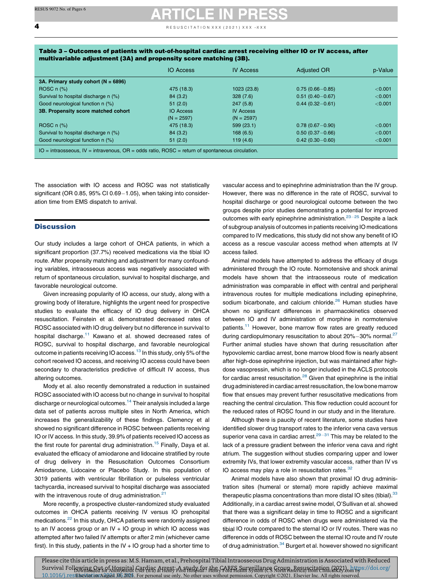<span id="page-5-0"></span> $\overline{4}$  **e** ESUSCITATION XXX (2021) XXX -XXX

| Table 3 – Outcomes of patients with out-of-hospital cardiac arrest receiving either IO or IV access, after |  |
|------------------------------------------------------------------------------------------------------------|--|
| multivariable adjustment (3A) and propensity score matching (3B).                                          |  |

|                                                                                                             | <b>IO Access</b> | <b>IV Access</b> | <b>Adjusted OR</b>  | p-Value |  |  |
|-------------------------------------------------------------------------------------------------------------|------------------|------------------|---------------------|---------|--|--|
| 3A. Primary study cohort ( $N = 6896$ )                                                                     |                  |                  |                     |         |  |  |
| ROSC $n$ $(\%)$                                                                                             | 475 (18.3)       | 1023 (23.8)      | $0.75(0.66 - 0.85)$ | < 0.001 |  |  |
| Survival to hospital discharge n (%)                                                                        | 84 (3.2)         | 328(7.6)         | $0.51(0.40 - 0.67)$ | < 0.001 |  |  |
| Good neurological function n (%)                                                                            | 51(2.0)          | 247(5.8)         | $0.44(0.32 - 0.61)$ | < 0.001 |  |  |
| 3B. Propensity score matched cohort                                                                         | <b>IO Access</b> | <b>IV Access</b> |                     |         |  |  |
|                                                                                                             | $(N = 2597)$     | $(N = 2597)$     |                     |         |  |  |
| ROSC $n$ $(\%)$                                                                                             | 475 (18.3)       | 599(23.1)        | $0.78(0.67 - 0.90)$ | < 0.001 |  |  |
| Survival to hospital discharge n (%)                                                                        | 84 (3.2)         | 168(6.5)         | $0.50(0.37 - 0.66)$ | < 0.001 |  |  |
| Good neurological function n (%)                                                                            | 51(2.0)          | 119(4.6)         | $0.42(0.30 - 0.60)$ | < 0.001 |  |  |
| $IO = intraosseous$ , $IV = intravenous$ , $OR = odds ratio$ , $ROSC = return of spontaneous circulation$ . |                  |                  |                     |         |  |  |

The association with IO access and ROSC was not statistically significant (OR 0.85, 95% CI 0.69 $-1.05$ ), when taking into consideration time from EMS dispatch to arrival.

#### **Discussion**

Our study includes a large cohort of OHCA patients, in which a significant proportion (37.7%) received medications via the tibial IO route. After propensity matching and adjustment for many confounding variables, intraosseous access was negatively associated with return of spontaneous circulation, survival to hospital discharge, and favorable neurological outcome.

Given increasing popularity of IO access, our study, along with a growing body of literature, highlights the urgent need for prospective studies to evaluate the efficacy of IO drug delivery in OHCA resuscitation. Feinstein et al. demonstrated decreased rates of ROSC associated with IO drug delivery but no difference in survival to hospital discharge.<sup>[11](#page-7-0)</sup> Kawano et al. showed decreased rates of ROSC, survival to hospital discharge, and favorable neurological outcome in patients receiving IO access.<sup>[13](#page-7-0)</sup> In this study, only 5% of the cohort received IO access, and receiving IO access could have been secondary to characteristics predictive of difficult IV access, thus altering outcomes.

Mody et al. also recently demonstrated a reduction in sustained ROSC associated with IO access but no change in survival to hospital discharge or neurological outcomes.<sup>14</sup> Their analysis included a large data set of patients across multiple sites in North America, which increases the generalizability of these findings. Clemency et al showed no significant difference in ROSC between patients receiving IO or IV access. In this study, 39.9% of patients received IO access as the first route for parental drug administration.<sup>15</sup> Finally, Daya et al. evaluated the efficacy of amiodarone and lidocaine stratified by route of drug delivery in the Resuscitation Outcomes Consortium Amiodarone, Lidocaine or Placebo Study. In this population of 3019 patients with ventricular fibrillation or pulseless ventricular tachycardia, increased survival to hospital discharge was associated with the intravenous route of drug administration.<sup>[21](#page-7-0)</sup>

More recently, a prospective cluster-randomized study evaluated outcomes in OHCA patients receiving IV versus IO prehospital medications.<sup>22</sup> In this study, OHCA patients were randomly assigned to an IV access group or an IV  $+$  IO group in which IO access was attempted after two failed IV attempts or after 2 min (whichever came first). In this study, patients in the IV  $+$  IO group had a shorter time to

vascular access and to epinephrine administration than the IV group. However, there was no difference in the rate of ROSC, survival to hospital discharge or good neurological outcome between the two groups despite prior studies demonstrating a potential for improved outcomes with early epinephrine administration. $23-25$  [Despite](#page-7-0) a lack of subgroup analysis of outcomes in patients receiving IO medications compared to IV medications, this study did not show any benefit of IO access as a rescue vascular access method when attempts at IV access failed.

Animal models have attempted to address the efficacy of drugs administered through the IO route. Normotensive and shock animal models have shown that the intraosseous route of medication administration was comparable in effect with central and peripheral intravenous routes for multiple medications including epinephrine, sodium bicarbonate, and calcium chloride.<sup>[26](#page-7-0)</sup> Human studies have shown no significant differences in pharmacokinetics observed between IO and IV administration of morphine in normotensive patients.<sup>[11](#page-7-0)</sup> However, bone marrow flow rates are greatly reduced during cardiopulmonary resuscitation to about  $20\% - 30\%$  normal.<sup>27</sup> Further animal studies have shown that during resuscitation after hypovolemic cardiac arrest, bone marrow blood flow is nearly absent after high-dose epinephrine injection, but was maintained after highdose vasopressin, which is no longer included in the ACLS protocols for cardiac arrest resuscitation.<sup>28</sup> Given that epinephrine is the initial drug administered in cardiac arrest resuscitation, the low bone marrow flow that ensues may prevent further resuscitative medications from reaching the central circulation. This flow reduction could account for the reduced rates of ROSC found in our study and in the literature.

Although there is paucity of recent literature, some studies have identified slower drug transport rates to the inferior vena cava versus superior vena cava in cardiac arrest. $29-31$  This may be [related](#page-7-0) to the lack of a pressure gradient between the inferior vena cava and right atrium. The suggestion without studies comparing upper and lower extremity IVs, that lower extremity vascular access, rather than IV vs IO access may play a role in resuscitation rates.<sup>[32](#page-7-0)</sup>

Animal models have also shown that proximal IO drug administration sites (humeral or sternal) more rapidly achieve maximal therapeutic plasma concentrations than more distal IO sites (tibial).<sup>33</sup> Additionally, in a cardiac arrest swine model, O'Sullivan et al. showed that there was a significant delay in time to ROSC and a significant difference in odds of ROSC when drugs were administered via the tibial IO route compared to the sternal IO or IV routes. There was no difference in odds of ROSC between the sternal IO route and IV route of drug administration.<sup>34</sup> Burgert et al. however showed no significant

Please cite this article in press as: M.S. Hamam, et al., Prehospital Tibial Intraosseous Drug Administration is Associated with Reduced Survival Following Qutof Hospital Gardias AHant, A they has the GARFA Surveyllance Gunna Basystine inn (AR2) on tys://doi.org/ 10.1016/j.res Elsevierton August 30, 2021. For personal use only. No other uses without permission. Copyright ©2021. Elsevier Inc. All rights reserved.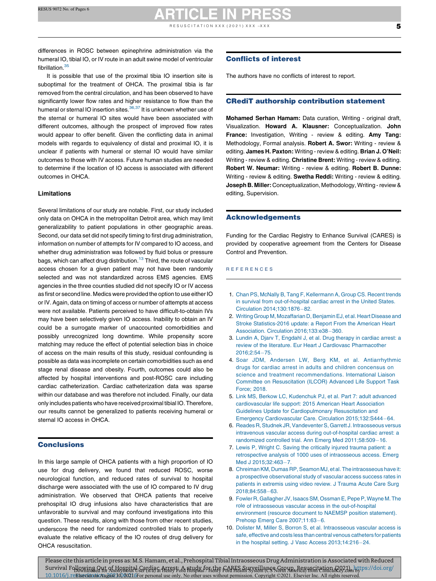<span id="page-6-0"></span>differences in ROSC between epinephrine administration via the humeral IO, tibial IO, or IV route in an adult swine model of ventricular fibrillation.<sup>[35](#page-7-0)</sup>

It is possible that use of the proximal tibia IO insertion site is suboptimal for the treatment of OHCA. The proximal tibia is far removed from the central circulation, and has been observed to have significantly lower flow rates and higher resistance to flow than the humeral or sternal IO insertion sites.<sup>36,37</sup> It is [unknown](#page-7-0) whether use of the sternal or humeral IO sites would have been associated with different outcomes, although the prospect of improved flow rates would appear to offer benefit. Given the conflicting data in animal models with regards to equivalency of distal and proximal IO, it is unclear if patients with humeral or sternal IO would have similar outcomes to those with IV access. Future human studies are needed to determine if the location of IO access is associated with different outcomes in OHCA.

#### Limitations

Several limitations of our study are notable. First, our study included only data on OHCA in the metropolitan Detroit area, which may limit generalizability to patient populations in other geographic areas. Second, our data set did not specify timing to first drug administration, information on number of attempts for IV compared to IO access, and whether drug administration was followed by fluid bolus or pressure bags, which can affect drug distribution.<sup>[13](#page-7-0)</sup> Third, the route of vascular access chosen for a given patient may not have been randomly selected and was not standardized across EMS agencies. EMS agencies in the three counties studied did not specify IO or IV access as first or second line. Medics were provided the option to use either IO or IV. Again, data on timing of access or number of attempts at access were not available. Patients perceived to have difficult-to-obtain IVs may have been selectively given IO access. Inability to obtain an IV could be a surrogate marker of unaccounted comorbidities and possibly unrecognized long downtime. While propensity score matching may reduce the effect of potential selection bias in choice of access on the main results of this study, residual confounding is possible as data was incomplete on certain comorbidities such as end stage renal disease and obesity. Fourth, outcomes could also be affected by hospital interventions and post-ROSC care including cardiac catheterization. Cardiac catheterization data was sparse within our database and was therefore not included. Finally, our data only includes patients who have received proximal tibial IO. Therefore, our results cannot be generalized to patients receiving humeral or sternal IO access in OHCA.

#### **Conclusions**

In this large sample of OHCA patients with a high proportion of IO use for drug delivery, we found that reduced ROSC, worse neurological function, and reduced rates of survival to hospital discharge were associated with the use of IO compared to IV drug administration. We observed that OHCA patients that receive prehospital IO drug infusions also have characteristics that are unfavorable to survival and may confound investigations into this question. These results, along with those from other recent studies, underscore the need for randomized controlled trials to properly evaluate the relative efficacy of the IO routes of drug delivery for OHCA resuscitation.

#### Conflicts of interest

The authors have no conflicts of interest to report.

#### CRediT authorship contribution statement

Mohamed Serhan Hamam: Data curation, Writing - original draft, Visualization. Howard A. Klausner: Conceptualization. John France: Investigation, Writing - review & editing. Amy Tang: Methodology, Formal analysis. Robert A. Swor: Writing - review & editing. James H. Paxton: Writing - review & editing. Brian J. O'Neil: Writing - review & editing. Christine Brent: Writing - review & editing. Robert W. Neumar: Writing - review & editing. Robert B. Dunne: Writing - review & editing. Swetha Reddi: Writing - review & editing. Joseph B. Miller: Conceptualization, Methodology, Writing - review & editing, Supervision.

#### Acknowledgements

Funding for the Cardiac Registry to Enhance Survival (CARES) is provided by cooperative agreement from the Centers for Disease Control and Prevention.

#### R E F E R E N C E S

- 1. Chan PS, McNally B, Tang F, [Kellermann](http://refhub.elsevier.com/S0300-9572(21)00241-0/sbref0005) A, Group CS. Recent trends in survival from [out-of-hospital](http://refhub.elsevier.com/S0300-9572(21)00241-0/sbref0005) cardiac arrest in the United States. Circulation [2014;130:1876](http://refhub.elsevier.com/S0300-9572(21)00241-0/sbref0005)-82.
- 2. Writing Group M, Mozaffarian D, Benjamin EJ, et al. Heart Disease and Stroke [Statistics-2016](http://refhub.elsevier.com/S0300-9572(21)00241-0/sbref0010) update: a Report From the American Heart Association. Circulation [2016;133:e38](http://refhub.elsevier.com/S0300-9572(21)00241-0/sbref0010)-360.
- 3. Lundin A, Djarv T, [Engdahl](http://refhub.elsevier.com/S0300-9572(21)00241-0/sbref0015) J, et al. Drug therapy in cardiac arrest: a review of the literature. Eur Heart J Cardiovasc [Pharmacother](http://refhub.elsevier.com/S0300-9572(21)00241-0/sbref0015) [2016;2:54](http://refhub.elsevier.com/S0300-9572(21)00241-0/sbref0015)-75.
- 4. Soar JDM, Andersen LW, Berg KM, et al. [Antiarrhythmic](http://refhub.elsevier.com/S0300-9572(21)00241-0/sbref0020) drugs for cardiac arrest in adults and children [concensus](http://refhub.elsevier.com/S0300-9572(21)00241-0/sbref0020) on science and treatment [recommendations.](http://refhub.elsevier.com/S0300-9572(21)00241-0/sbref0020) International Liaison Committee on [Resuscitation](http://refhub.elsevier.com/S0300-9572(21)00241-0/sbref0020) (ILCOR) Advanced Life Support Task [Force;](http://refhub.elsevier.com/S0300-9572(21)00241-0/sbref0020) 2018.
- 5. Link MS, Berkow LC, [Kudenchuk](http://refhub.elsevier.com/S0300-9572(21)00241-0/sbref0025) PJ, et al. Part 7: adult advanced [cardiovascular](http://refhub.elsevier.com/S0300-9572(21)00241-0/sbref0025) life support: 2015 American Heart Association Guidelines Update for [Cardiopulmonary](http://refhub.elsevier.com/S0300-9572(21)00241-0/sbref0025) Resuscitation and Emergency Cardiovascular Care. Circulation [2015;132:S444](http://refhub.elsevier.com/S0300-9572(21)00241-0/sbref0025)-64.
- 6. Reades R, Studnek JR, Vandeventer S, Garrett J. Intraosseous versus intravenous vascular access during [out-of-hospital](http://refhub.elsevier.com/S0300-9572(21)00241-0/sbref0030) cardiac arrest: a randomized controlled trial. Ann Emerg Med [2011;58:509](http://refhub.elsevier.com/S0300-9572(21)00241-0/sbref0030)-16.
- 7. Lewis P, Wright C. Saving the [critically](http://refhub.elsevier.com/S0300-9572(21)00241-0/sbref0035) injured trauma patient: a [retrospective](http://refhub.elsevier.com/S0300-9572(21)00241-0/sbref0035) analysis of 1000 uses of intraosseous access. Emerg Med J [2015;32:463](http://refhub.elsevier.com/S0300-9572(21)00241-0/sbref0035)-7.
- 8. Chreiman KM, Dumas RP, Seamon MJ, et al. The intraosseous have it: a prospective [observational](http://refhub.elsevier.com/S0300-9572(21)00241-0/sbref0040) study of vascular access success rates in patients in [extremis](http://refhub.elsevier.com/S0300-9572(21)00241-0/sbref0040) using video review. J Trauma Acute Care Surg [2018;84:558](http://refhub.elsevier.com/S0300-9572(21)00241-0/sbref0040)-63.
- 9. Fowler R, Gallagher JV, Isaacs SM, Ossman E, Pepe P, Wayne M. The role of intraosseous vascular access in the [out-of-hospital](http://refhub.elsevier.com/S0300-9572(21)00241-0/sbref0045) [environment](http://refhub.elsevier.com/S0300-9572(21)00241-0/sbref0045) (resource document to NAEMSP position statement). Prehosp Emerg Care [2007;11:63](http://refhub.elsevier.com/S0300-9572(21)00241-0/sbref0045)-6.
- 10. Dolister M, Miller S, Borron S, et al. [Intraosseous](http://refhub.elsevier.com/S0300-9572(21)00241-0/sbref0050) vascular access is safe, effective and costs less than central venous [catheters](http://refhub.elsevier.com/S0300-9572(21)00241-0/sbref0050) for patients in the hospital setting. J Vasc Access [2013;14:216](http://refhub.elsevier.com/S0300-9572(21)00241-0/sbref0050)-24.

Please cite this article in press as: M.S. Hamam, et al., Prehospital Tibial Intraosseous Drug Administration is Associated with Reduced Survival Folkwing Qut Afbkyanital Sermiş a Attrş F.A atydz fonthe FARFS muystillans Ranyn. Resursni etinn 12921m btps://doi.org/ 10.1016/j.reElsevier on August 30, 2021 6 For personal use only. No other uses without permission. Copyright ©2021. Elsevier Inc. All rights reserved.